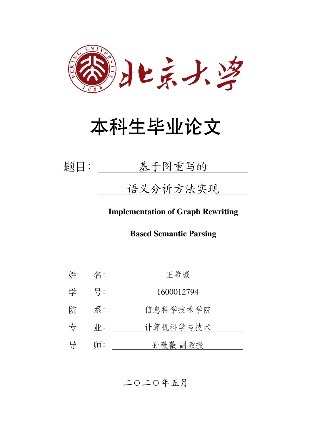

# 本科生毕业论文

| 基于图重写的 |  |
|--------|--|
|        |  |

语义分析方法实现

**Implementation of Graph Rewriting**

**Based Semantic Parsing**

姓 名: 王希豪 学 号: 1600012794 院 系: 信息科学技术学院 专 业: 计算机科学与技术 导 师: 孙薇薇 副教授

二〇二〇年五月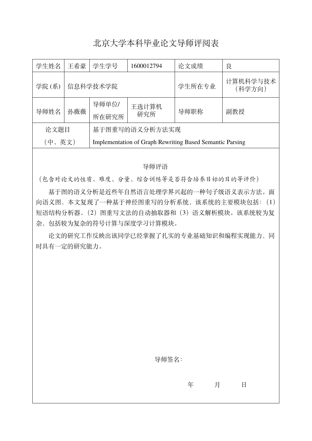### 北京大学本科毕业论文导师评阅表

| 学生姓名   | 王希豪 | 学生学号<br>1600012794 |                      | 论文成绩                                                            | 良                  |  |
|--------|-----|--------------------|----------------------|-----------------------------------------------------------------|--------------------|--|
| 学院(系)  |     | 信息科学技术学院           |                      | 学生所在专业                                                          | 计算机科学与技术<br>(科学方向) |  |
| 导师姓名   | 孙薇薇 | 导师单位/              | 王选计算机<br>导师职称<br>研究所 |                                                                 | 副教授                |  |
|        |     | 所在研究所              |                      |                                                                 |                    |  |
| 论文题目   |     | 基于图重写的语义分析方法实现     |                      |                                                                 |                    |  |
| (中、英文) |     |                    |                      | <b>Implementation of Graph Rewriting Based Semantic Parsing</b> |                    |  |

#### 导师评语

(包含对论文的性质、难度、分量、综合训练等是否符合培养目标的目的等评价)

基于图的语义分析是近些年自然语言处理学界兴起的一种句子级语义表示方法。面 向语义图,本文复现了一种基于神经图重写的分析系统,该系统的主要模块包括:(1) 短语结构分析器、(2)图重写文法的自动抽取器和(3)语义解析模块。该系统较为复 杂,包括较为复杂的符号计算与深度学习计算模块。

论文的研究工作反映出该同学已经掌握了扎实的专业基础知识和编程实现能力,同 时具有一定的研究能力。

导师签名:

年 月 日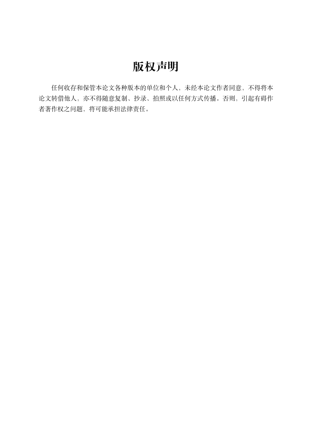# **版权声明**

任何收存和保管本论文各种版本的单位和个人,未经本论文作者同意,不得将本 论文转借他人,亦不得随意复制、抄录、拍照或以任何方式传播。否则,引起有碍作 者著作权之问题,将可能承担法律责任。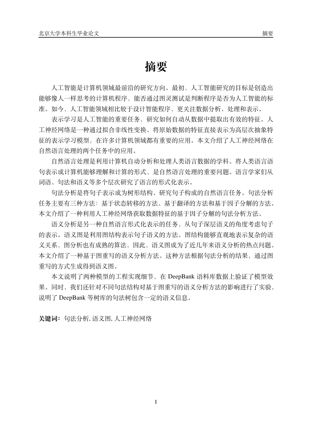## **摘要**

人工智能是计算机领域最前沿的研究方向。最初,人工智能研究的目标是创造出 能够像人一样思考的计算机程序,能否通过图灵测试是判断程序是否为人工智能的标 准。如今,人工智能领域相比较于设计智能程序,更关注数据分析、处理和表示。

表示学习是人工智能的重要任务,研究如何自动从数据中提取出有效的特征。人 工神经网络是一种通过拟合非线性变换、将原始数据的特征直接表示为高层次抽象特 征的表示学习模型,在许多计算机领域都有重要的应用。本文介绍了人工神经网络在 自然语言处理的两个任务中的应用。

自然语言处理是利用计算机自动分析和处理人类语言数据的学科。将人类语言语 句表示成计算机能够理解和计算的形式,是自然语言处理的重要问题。语言学家们从 词语、句法和语义等多个层次研究了语言的形式化表示。

句法分析是将句子表示成为树形结构、研究句子构成的自然语言任务。句法分析 任务主要有三种方法:基于状态转移的方法、基于翻译的方法和基于因子分解的方法。 本文介绍了一种利用人工神经网络获取数据特征的基于因子分解的句法分析方法。

语义分析是另一种自然语言形式化表示的任务,从句子深层语义的角度考虑句子 的表示。语义图是利用图结构表示句子语义的方法。图结构能够直观地表示复杂的语 义关系,图分析也有成熟的算法,因此,语义图成为了近几年来语义分析的热点问题。 本文介绍了一种基于图重写的语义分析方法。这种方法根据句法分析的结果,通过图 重写的方式生成得到语义图。

本文说明了两种模型的工程实现细节,在 DeepBank 语料库数据上验证了模型效 果。同时,我们还针对不同句法结构对基于图重写的语义分析方法的影响进行了实验, 说明了 DeepBank 等树库的句法树包含一定的语义信息。

**关键词:**句法分析, 语义图, 人工神经网络

I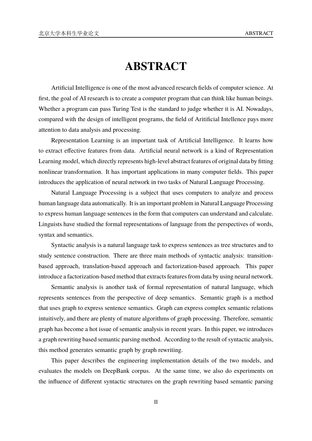# **ABSTRACT**

Artificial Intelligence is one of the most advanced research fields of computer science. At first, the goal of AI research is to create a computer program that can think like human beings. Whether a program can pass Turing Test is the standard to judge whether it is AI. Nowadays, compared with the design of intelligent programs, the field of Aritificial Intellence pays more attention to data analysis and processing.

Representation Learning is an important task of Artificial Intelligence. It learns how to extract effective features from data. Artificial neural network is a kind of Representation Learning model, which directly represents high-level abstract features of original data by fitting nonlinear transformation. It has important applications in many computer fields. This paper introduces the application of neural network in two tasks of Natural Language Processing.

Natural Language Processing is a subject that uses computers to analyze and process human language data automatically. It is an important problem in Natural Language Processing to express human language sentences in the form that computers can understand and calculate. Linguists have studied the formal representations of language from the perspectives of words, syntax and semantics.

Syntactic analysis is a natural language task to express sentences as tree structures and to study sentence construction. There are three main methods of syntactic analysis: transitionbased approach, translation-based approach and factorization-based approach. This paper introduce a factorization-based method that extracts features from data by using neural network.

Semantic analysis is another task of formal representation of natural language, which represents sentences from the perspective of deep semantics. Semantic graph is a method that uses graph to express sentence semantics. Graph can express complex semantic relations intuitively, and there are plenty of mature algorithms of graph processing. Therefore, semantic graph has become a hot issue of semantic analysis in recent years. In this paper, we introduces a graph rewriting based semantic parsing method. According to the result of syntactic analysis, this method generates semantic graph by graph rewriting.

This paper describes the engineering implementation details of the two models, and evaluates the models on DeepBank corpus. At the same time, we also do experiments on the influence of different syntactic structures on the graph rewriting based semantic parsing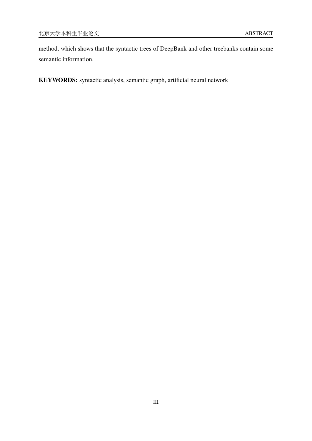method, which shows that the syntactic trees of DeepBank and other treebanks contain some semantic information.

**KEYWORDS:** syntactic analysis, semantic graph, artificial neural network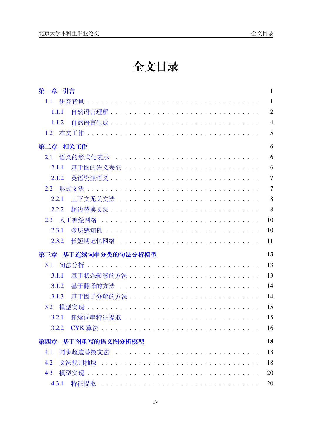# 全文目录

| 第一章 引言                 | $\mathbf{1}$   |
|------------------------|----------------|
| 1.1                    | $\mathbf{1}$   |
| 1.1.1                  | $\overline{2}$ |
| 1.1.2                  | $\overline{4}$ |
| 1.2                    | 5              |
| 第二章 相关工作               | 6              |
| 语义的形式化表示<br>2.1        | 6              |
| 2.1.1                  | 6              |
| 2.1.2                  | $\overline{7}$ |
|                        | $\overline{7}$ |
| 2.2.1                  | 8              |
| 2.2.2                  | 8              |
|                        | 10             |
| 2.3.1                  | 10             |
| 2.3.2                  | 11             |
| 基于连续词串分类的句法分析模型<br>第三章 | 13             |
| 3.1                    | 13             |
| 3.1.1                  | 13             |
| 3.1.2                  | 14             |
| 基于因子分解的方法<br>3.1.3     | 14             |
|                        | 15             |
| 3.2.1                  | 15             |
|                        | 16             |
| 第四章 基于图重写的语义图分析模型      | 18             |
| 同步超边替换文法<br>4.1        | 18             |
| 4.2                    | 18             |
| 4.3                    | 20             |
|                        | 20             |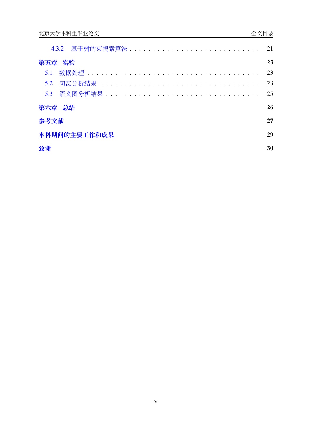| 第五章 实验       | 23  |
|--------------|-----|
|              | -23 |
|              | 23  |
|              | 25  |
| 第六章 总结       | 26  |
| 参考文献         | 27  |
| 本科期间的主要工作和成果 | 29  |
| 致谢           | 30  |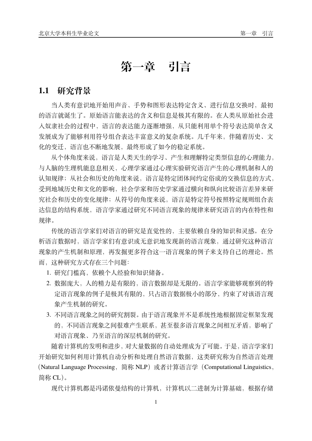# **第一章 引言**

### <span id="page-8-1"></span><span id="page-8-0"></span>**1.1 研究背景**

当人类有意识地开始用声音、手势和图形表达特定含义、进行信息交换时,最初 的语言就诞生了。原始语言能表达的含义和信息是极其有限的。在人类从原始社会进 入奴隶社会的过程中,语言的表达能力逐渐增强,从只能利用单个符号表达简单含义 发展成为了能够利用符号组合表达丰富意义的复杂系统。几千年来,伴随着历史、文 化的变迁,语言也不断地发展,最终形成了如今的稳定系统。

从个体角度来说,语言是人类天生的学习、产生和理解特定类型信息的心理能力, 与人脑的生理机能息息相关,心理学家通过心理实验研究语言产生的心理机制和人的 认知规律;从社会和历史的角度来说,语言是特定团体间约定俗成的交换信息的方式, 受到地域历史和文化的影响,社会学家和历史学家通过横向和纵向比较语言差异来研 究社会和历史的变化规律;从符号的角度来说,语言是特定符号按照特定规则组合表 达信息的结构系统,语言学家通过研究不同语言现象的规律来研究语言的内在特性和 规律。

传统的语言学家们对语言的研究是直觉性的,主要依赖自身的知识和灵感。在分 析语言数据时,语言学家们有意识或无意识地发现新的语言现象,通过研究这种语言 现象的产生机制和原理,再发掘更多符合这一语言现象的例子来支持自己的理论。然 而,这种研究方式存在三个问题:

- 1. 研究门槛高,依赖个人经验和知识储备。
- 2. 数据庞大,人的精力是有限的,语言数据却是无限的。语言学家能够观察到的特 定语言现象的例子是极其有限的,只占语言数据极小的部分,约束了对该语言现 象产生机制的研究。
- 3. 不同语言现象之间的研究割裂。由于语言现象并不是系统性地根据固定框架发现 的,不同语言现象之间很难产生联系,甚至很多语言现象之间相互矛盾,影响了 对语言现象、乃至语言的深层机制的研究。

随着计算机的发明和进步,对大量数据的自动处理成为了可能。于是,语言学家们 开始研究如何利用计算机自动分析和处理自然语言数据,这类研究称为自然语言处理 (Natural Language Processing, 简称 NLP)或者计算语言学(Computational Linguistics, 简称 CL)。

现代计算机都是冯诺依曼结构的计算机,计算机以二进制为计算基础,根据存储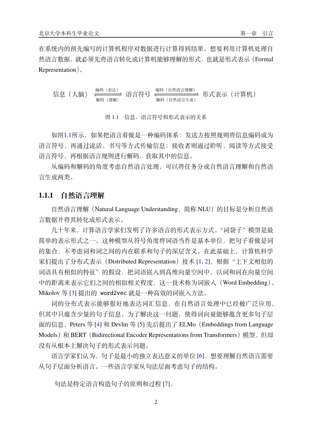在系统内的预先编写的计算机程序对数据进行计算得到结果。想要利用计算机处理自 然语言数据,就必须先将语言转化成计算机能够理解的形式,也就是形式表示(Formal Representation)。

<span id="page-9-1"></span>信息(人脑) 编码(表达) −−−−−−−−− *↽*−−−−−−−−−*⇀* 解码(理解) 语言符号 编码(自然语言理解) −−−−−−−−−−−−−−−− *↽*−−−−−−−−−−−−−−−−*⇀* 解码(自然语言生成) 形式表示(计算机)

图 1.1 信息、语言符号和形式表示的关系

如图[1.1](#page-9-1)所示,如果把语言看做是一种编码体系:发送方按照规则将信息编码成为 语言符号,再通过说话、书写等方式传输信息;接收者则通过聆听、阅读等方式接受 语言符号,再根据语言规则进行解码,获取其中的信息。

从编码和解码的角度考虑自然语言处理,可以将任务分成自然语言理解和自然语 言生成两类。

#### <span id="page-9-0"></span>**1.1.1 自然语言理解**

自然语言理解 (Natural Language Understanding, 简称 NLU)的目标是分析自然语 言数据并将其转化成形式表示。

几十年来,计算语言学家们发明了许多语言的形式表示方式。"词袋子"模型是最 简单的表示形式之一。这种模型从符号角度将词语当作是基本单位,把句子看做是词 的集合,不考虑词和词之间的内在联系和句子的深层含义。在此基础上,计算机科学 家们提出了分布式表示 (Distributed Representation)技术 [[1,](#page-34-1) [2](#page-34-2)], 根据"上下文相似的 词语具有相似的特征"的假设,把词语嵌入到高维向量空间中,以词和词在向量空间 中的距离来表示它们之间的相似相关程度,这一技术称为词嵌入(Word Embedding)。 Mikolov 等 [\[3](#page-34-3)] 提出的 word2vec 就是一种高效的词嵌入方法。

词的分布式表示能够很好地表达词汇信息,在自然语言处理中已经被广泛应用, 但其中只蕴含少量的句子信息。为了解决这一问题,使得词向量能够蕴含更多句子层 面的信息,Peters 等 [\[4](#page-34-4)] 和 Devlin 等 [\[5](#page-34-5)] 先后提出了 ELMo(Embeddings from Language Models) 和 BERT (Bidirectional Encoder Representations from Transformers) 模型, 但却 没有从根本上解决句子的形式表示问题。

语言学家们认为,句子是最小的独立表达意义的单位 [\[6](#page-34-6)], 想要理解自然语言需要 从句子层面分析语言。一些语言学家从句法层面考虑句子的结构。

句法是特定语言构造句子的原则和过程 [[7\]](#page-34-7)。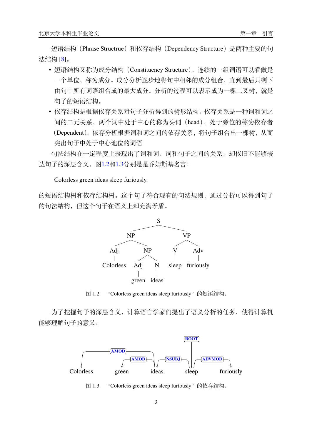短语结构 (Phrase Structrue) 和依存结构 (Dependency Structure) 是两种主要的句 法结构 [[8\]](#page-34-8)。

- 短语结构又称为成分结构(Constituency Structure)。连续的一组词语可以看做是 一个单位,称为成分。成分分析逐步地将句中相邻的成分组合,直到最后只剩下 由句中所有词语组合成的最大成分。分析的过程可以表示成为一棵二叉树,就是 句子的短语结构。
- 依存结构是根据依存关系对句子分析得到的树形结构。依存关系是一种词和词之 间的二元关系,两个词中处于中心的称为头词(head),处于旁位的称为依存者 (Dependent)。依存分析根据词和词之间的依存关系,将句子组合出一棵树,从而 突出句子中处于中心地位的词语

句法结构在一定程度上表现出了词和词、词和句子之间的关系,却依旧不能够表 达句子的深层含义。图[1.2](#page-10-0)和[1.3](#page-10-1)分别是是乔姆斯基名言:

Colorless green ideas sleep furiously.

<span id="page-10-0"></span>的短语结构树和依存结构树。这个句子符合现有的句法规则,通过分析可以得到句子 的句法结构,但这个句子在语义上却充满矛盾。



图 1.2 "Colorless green ideas sleep furiously"的短语结构。

<span id="page-10-1"></span>为了挖掘句子的深层含义,计算语言学家们提出了语义分析的任务,使得计算机 能够理解句子的意义。



图 1.3 "Colorless green ideas sleep furiously"的依存结构。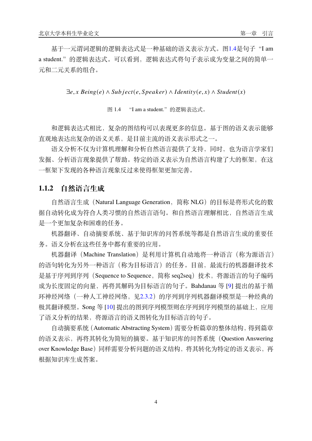基于一元谓词逻辑的逻辑表达式是一种基础的语义表示方式。图[1.4](#page-11-1)是句子"I am a student."的逻辑表达式。可以看到,逻辑表达式将句子表示成为变量之间的简单一 元和二元关系的组合。

<span id="page-11-1"></span> $\exists e, x \; Being(e) \land Subject(e, Speaker) \land Identity(e, x) \land Student(x)$ 

图 1.4 "I am a student."的逻辑表达式。

和逻辑表达式相比,复杂的图结构可以表现更多的信息。基于图的语义表示能够 直观地表达出复杂的语义关系,是目前主流的语义表示形式之一。

语义分析不仅为计算机理解和分析自然语言提供了支持,同时,也为语言学家们 发掘、分析语言现象提供了帮助。特定的语义表示为自然语言构建了大的框架,在这 一框架下发现的各种语言现象反过来使得框架更加完善。

#### <span id="page-11-0"></span>**1.1.2 自然语言生成**

自然语言生成 (Natural Language Generation, 简称 NLG) 的目标是将形式化的数 据自动转化成为符合人类习惯的自然语言语句。和自然语言理解相比,自然语言生成 是一个更加复杂和困难的任务。

机器翻译、自动摘要系统、基于知识库的问答系统等都是自然语言生成的重要任 务。语义分析在这些任务中都有重要的应用。

机器翻译(Machine Translation)是利用计算机自动地将一种语言(称为源语言) 的语句转化为另外一种语言(称为目标语言)的任务。目前,最流行的机器翻译技术 是基于序列到序列 (Sequence to Sequence, 简称 seq2seq)技术, 将源语言的句子编码 成为长度固定的向量,再将其解码为目标语言的句子。Bahdanau 等 [\[9](#page-34-9)] 提出的基于循 环神经网络(一种人工神经网络,见[2.3.2](#page-18-0))的序列到序列机器翻译模型是一种经典的 极其翻译模型。Song 等 [\[10](#page-34-10)] 提出的图到序列模型则在序列到序列模型的基础上, 应用 了语义分析的结果,将源语言的语义图转化为目标语言的句子。

自动摘要系统(Automatic Abstracting System)需要分析篇章的整体结构,得到篇章 的语义表示,再将其转化为简短的摘要。基于知识库的问答系统(Question Answering over Knowledge Base)同样需要分析问题的语义结构,将其转化为特定的语义表示,再 根据知识库生成答案。

4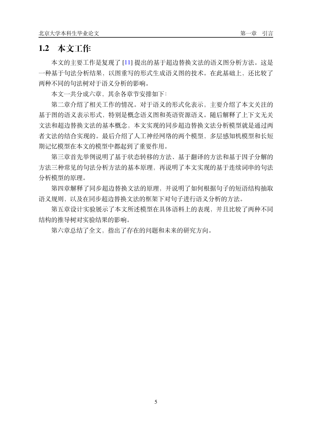### <span id="page-12-0"></span>**1.2 本文工作**

本文的主要工作是复现了 [\[11](#page-34-11)] 提出的基于超边替换文法的语义图分析方法。这是 一种基于句法分析结果,以图重写的形式生成语义图的技术。在此基础上,还比较了 两种不同的句法树对于语义分析的影响。

本文一共分成六章,其余各章节安排如下:

第二章介绍了相关工作的情况。对于语义的形式化表示,主要介绍了本文关注的 基于图的语义表示形式,特别是概念语义图和英语资源语义。随后解释了上下文无关 文法和超边替换文法的基本概念,本文实现的同步超边替换文法分析模型就是通过两 者文法的结合实现的。最后介绍了人工神经网络的两个模型,多层感知机模型和长短 期记忆模型在本文的模型中都起到了重要作用。

第三章首先举例说明了基于状态转移的方法、基于翻译的方法和基于因子分解的 方法三种常见的句法分析方法的基本原理,再说明了本文实现的基于连续词串的句法 分析模型的原理。

第四章解释了同步超边替换文法的原理,并说明了如何根据句子的短语结构抽取 语义规则,以及在同步超边替换文法的框架下对句子进行语义分析的方法。

第五章设计实验展示了本文所述模型在具体语料上的表现,并且比较了两种不同 结构的推导树对实验结果的影响。

第六章总结了全文,指出了存在的问题和未来的研究方向。

5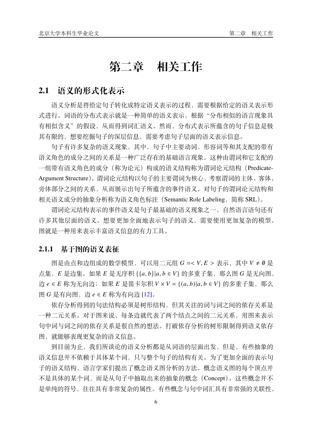# **第二章 相关工作**

### <span id="page-13-1"></span><span id="page-13-0"></span>**2.1 语义的形式化表示**

语义分析是将给定句子转化成特定语义表示的过程,需要根据给定的语义表示形 式进行。词语的分布式表示就是一种简单的语义表示,根据"分布相似的语言现象具 有相似含义"的假设,从而得到词汇语义。然而,分布式表示所蕴含的句子信息是极 其有限的,想要挖掘句子的深层信息,需要考虑句子层面的语义表示信息。

句子有许多复杂的语义现象,其中,句子中主要动词、形容词等和其支配的带有 语义角色的成分之间的关系是一种广泛存在的基础语言现象。这种由谓词和它支配的 一组带有语义角色的成分(称为论元)构成的语义结构称为谓词论元结构(Predicate-Argument Structure)。谓词论元结构以句子的主要谓词为核心,考察谓词的主体、客体、 旁体部分之间的关系,从而展示出句子所蕴含的事件语义。对句子的谓词论元结构和 相关语义成分的抽象分析称为语义角色标注(Semantic Role Labeling,简称 SRL)。

谓词论元结构表示的事件语义是句子最基础的语义现象之一,自然语言语句还有 许多其他层面的语义。想要更加全面地表示句子的语义,需要使用更加复杂的模型。 图就是一种用来表示丰富语义信息的有力工具。

#### <span id="page-13-2"></span>**2.1.1 基于图的语义表征**

图是由点和边组成的数学模型,可以用二元组 G =< V, E > 表示, 其中 V ≠ 0 是 点集, E 是边集。如果 E 是无序积 {{a,b}|a,b ∈ V} 的多重子集, 那么图 G 是无向图, 边  $e \in E$  称为无向边; 如果  $E$  是笛卡尔积  $V \times V = \{(a, b) | a, b \in V\}$  的多重子集, 那么 图  $G \not\equiv 4$ 向图, 边  $e \in E$  称为有向边 [\[12](#page-34-12)]。

依存分析得到的句法结构必须是树形结构,但其关注的词与词之间的依存关系是 一种二元关系。对于图来说,每条边就代表了两个结点之间的二元关系,用图来表示 句中词与词之间的依存关系是很自然的想法。打破依存分析的树形限制得到语义依存 图,就能够表现更复杂的语义信息。

到目前为止,我们所谈论的语义分析都是从词语的层面出发,但是,有些抽象的 语义信息并不依赖于具体某个词,只与整个句子的结构有关。为了更加全面的表示句 子的语义结构,语言学家们提出了概念语义图分析的方法。概念语义图的每个顶点并 不是具体的某个词,而是从句子中抽取出来的抽象的概念(Concept)。这些概念并不 是单纯的符号,往往具有非常复杂的属性。有些概念与句中词汇具有非常强的关联性,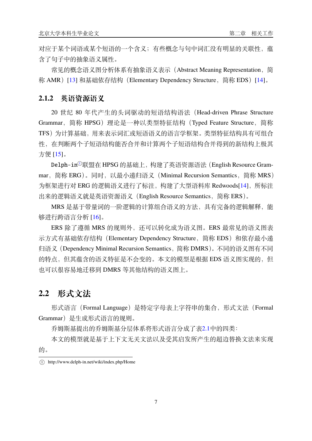对应于某个词语或某个短语的一个含义;有些概念与句中词汇没有明显的关联性,蕴 含了句子中的抽象语义属性。

常见的概念语义图分析体系有抽象语义表示(Abstract Meaning Representation,简 称 AMR) [\[13](#page-34-13)] 和基础依存结构 (Elementary Dependency Structure, 简称 EDS) [\[14](#page-34-14)]。

#### <span id="page-14-0"></span>**2.1.2 英语资源语义**

20 世纪 80 年代产生的头词驱动的短语结构语法(Head-driven Phrase Structure Grammar,简称 HPSG)理论是一种以类型特征结构(Typed Feature Structure,简称 TFS)为计算基础,用来表示词汇或短语语义的语言学框架。类型特征结构具有可组合 性,在判断两个子短语结构能否合并和计算两个子短语结构合并得到的新结构上极其 方便 [[15\]](#page-34-15)。

Delph-in<sup>①</sup>联盟在 HPSG 的基础上,构建了英语资源语法 (English Resource Grammar,简称 ERG)。同时,以最小递归语义(Minimal Recursion Semantics,简称 MRS) 为框架进行对 ERG 的逻辑语义进行了标注, 构建了大型语料库 Redwoods[[14\]](#page-34-14), 所标注 出来的逻辑语义就是英语资源语义(English Resource Semantics,简称 ERS)。

MRS 是基于带量词的一阶逻辑的计算组合语义的方法, 具有完备的逻辑解释, 能 够进行跨语言分析 [[16\]](#page-34-16)。

ERS 除了遵循 MRS 的规则外, 还可以转化成为语义图。ERS 最常见的语义图表 示方式有基础依存结构 (Elementary Dependency Structure, 简称 EDS) 和依存最小递 归语义(Dependency Minimal Recursion Semantics,简称 DMRS)。不同的语义图有不同 的特点,但其蕴含的语义特征是不会变的。本文的模型是根据 EDS 语义图实现的, 但 也可以很容易地迁移到 DMRS 等其他结构的语义图上。

### <span id="page-14-1"></span>**2.2 形式文法**

形式语言(Formal Language)是特定字母表上字符串的集合,形式文法(Formal Grammar)是生成形式语言的规则。

乔姆斯基提出的乔姆斯基分层体系将形式语言分成了表[2.1](#page-15-2)中的四类:

本文的模型就是基于上下文无关文法以及受其启发所产生的超边替换文法来实现 的。

<span id="page-14-2"></span><sup>1</sup> http://www.delph-in.net/wiki/index.php/Home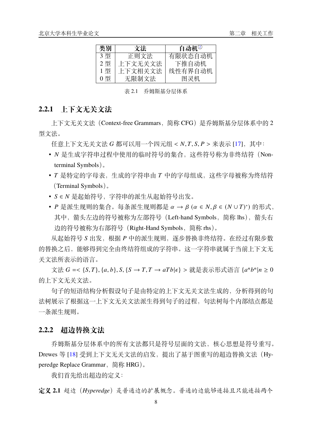<span id="page-15-2"></span>

| 类别 | 文法      | 自动机②    |
|----|---------|---------|
| 3型 | 正则文法    | 有限状态自动机 |
| 2型 | 上下文无关文法 | 下推自动机   |
| 1型 | 上下文相关文法 | 线性有界自动机 |
| 0型 | 无限制文法   | 图灵机     |

表 2.1 乔姆斯基分层体系

#### <span id="page-15-0"></span>**2.2.1 上下文无关文法**

上下文无关文法(Context-free Grammars,简称 CFG)是乔姆斯基分层体系中的 2 型文法。

任意上下文无关文法 G 都可以用一个四元组 < N, T, S, P > 来表示 [[17\]](#page-35-0), 其中:

- N 是生成字符串过程中使用的临时符号的集合, 这些符号称为非终结符 (Nonterminal Symbols)。
- T 是特定的字母表, 生成的字符串由 T 中的字母组成, 这些字母被称为终结符 (Terminal Symbols)。
- S E N 是起始符号, 字符串的派生从起始符号出发。
- P 是派生规则的集合。每条派生规则都是 α → β (α ∈ N,β ∈ (N ∪ T)\*) 的形式, 其中,箭头左边的符号被称为左部符号 (Left-hand Symbols, 简称 lhs), 箭头右 边的符号被称为右部符号(Right-Hand Symbols,简称 rhs)。

从起始符号 S 出发, 根据 P 中的派生规则, 逐步替换非终结符。在经过有限步数 的替换之后,能够得到完全由终结符组成的字符串。这一字符串就属于当前上下文无 关文法所表示的语言。

 $\chi$ 法 *G* =< {*S*,*T*}, {*a*, *b*}, *S*, {*S* → *T*, *T* → *aTb*| $\epsilon$ } > 就是表示形式语言 {*a<sup>n</sup>b<sup>n</sup>*|*n* ≥ 0 的上下文无关文法。

句子的短语结构分析假设句子是由特定的上下文无关文法生成的,分析得到的句 法树展示了根据这一上下文无关文法派生得到句子的过程,句法树每个内部结点都是 一条派生规则。

#### <span id="page-15-1"></span>**2.2.2 超边替换文法**

乔姆斯基分层体系中的所有文法都只是符号层面的文法,核心思想是符号重写。 Drewes 等 [\[18](#page-35-1)] 受到上下文无关文法的启发, 提出了基于图重写的超边替换文法 (Hyperedge Replace Grammar, 简称 HRG)。

我们首先给出超边的定义:

**定义 2.1** 超边(*Hyperedge*)是普通边的扩展概念。普通的边能够连接且只能连接两个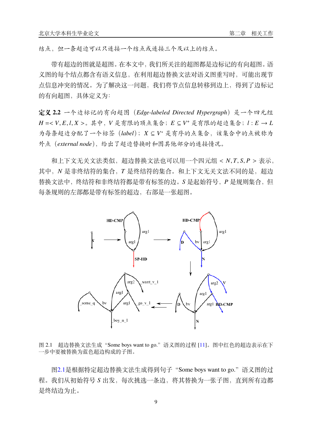结点,但一条超边可以只连接一个结点或连接三个及以上的结点。

带有超边的图就是超图。在本文中,我们所关注的超图都是边标记的有向超图。语 义图的每个结点都含有语义信息,在利用超边替换文法对语义图重写时,可能出现节 点信息冲突的情况。为了解决这一问题,我们将节点信息转移到边上,得到了边标记 的有向超图,具体定义为:

**定义 2.2** 一个边标记的有向超图(*Edge-labeled Directed Hypergraph*)是一个四元组  $H = < V, E, l, X >$ 。其中,  $V$ 是有限的顶点集合;  $E \subseteq V^{+}$ 是有限的超边集合;  $l : E \rightarrow L$ 为每条超边分配了一个标签 (label); X ⊆ V\* 是有序的点集合, 该集合中的点被称为 外点(*external node*),给出了超边替换时和图其他部分的连接情况。

和上下文无关文法类似,超边替换文法也可以用一个四元组 < N, T, S, P > 表示, 其中, N 是非终结符的集合, T 是终结符的集合。和上下文无关文法不同的是, 超边 替换文法中,终结符和非终结符都是带有标签的边。 是起始符号, 是规则集合,但 每条规则的左部都是带有标签的超边,右部是一张超图。

<span id="page-16-0"></span>

图 2.1 超边替换文法生成"Some boys want to go."语义图的过程 [\[11\]](#page-34-11)。图中红色的超边表示在下 一步中要被替换为蓝色超边构成的子图。

图[2.1](#page-16-0)是根据特定超边替换文法生成得到句子"Some boys want to go."语义图的过 程。我们从初始符号 S 出发, 每次挑选一条边, 将其替换为一张子图, 直到所有边都 是终结边为止。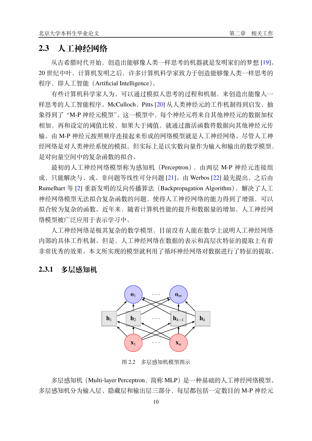### <span id="page-17-0"></span>**2.3 人工神经网络**

从古希腊时代开始,创造出能够像人类一样思考的机器就是发明家们的梦想 [\[19](#page-35-2)]。 20 世纪中叶,计算机发明之后,许多计算机科学家致力于创造能够像人类一样思考的 程序,即人工智能(Artificial Intelligence)。

有些计算机科学家人为,可以通过模拟人思考的过程和机制,来创造出能像人一 样思考的人工智能程序。McCulloch、Pitts [\[20](#page-35-3)] 从人类神经元的工作机制得到启发, 抽 象得到了"M-P 神经元模型"。这一模型中, 每个神经元将来自其他神经元的数据加权 相加,再和设定的阈值比较,如果大于阈值,就通过激活函数将数据向其他神经元传 输。由 M-P 神经元按照顺序连接起来形成的网络模型就是人工神经网络。尽管人工神 经网络是对人类神经系统的模拟,但实际上是以实数向量作为输入和输出的数学模型, 是对向量空间中的复杂函数的拟合。

最初的人工神经网络模型称为感知机(Perceptron),由两层 M-P 神经元连接组 成,只能解决与、或、非问题等线性可分问题 [\[21](#page-35-4)]。由 Werbos [[22\]](#page-35-5) 最先提出,之后由 Rumelhart 等 [\[2](#page-34-2)] 重新发明的反向传播算法(Backpropagation Algorithm),解决了人工 神经网络模型无法拟合复杂函数的问题,使得人工神经网络的能力得到了增强,可以 拟合较为复杂的函数。近年来,随着计算机性能的提升和数据量的增加,人工神经网 络模型被广泛应用于表示学习中。

人工神经网络是极其复杂的数学模型,目前没有人能在数学上说明人工神经网络 内部的具体工作机制。但是,人工神经网络在数据的表示和高层次特征的提取上有着 非常优秀的效果。本文所实现的模型就利用了循环神经网络对数据进行了特征的提取。

#### <span id="page-17-2"></span><span id="page-17-1"></span>**2.3.1 多层感知机**



图 2.2 多层感知机模型图示

多层感知机(Multi-layer Perceptron,简称 MLP)是一种基础的人工神经网络模型。 多层感知机分为输入层、隐藏层和输出层三部分,每层都包括一定数目的 M-P 神经元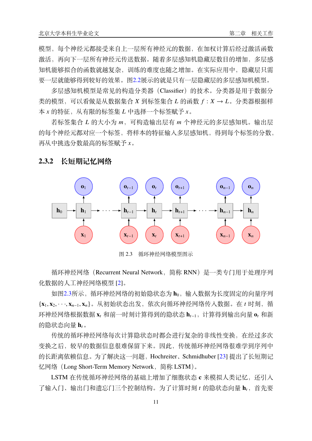模型,每个神经元都接受来自上一层所有神经元的数据,在加权计算后经过激活函数 激活,再向下一层所有神经元传送数据。随着多层感知机隐藏层数目的增加,多层感 知机能够拟合的函数就越复杂,训练的难度也随之增加。在实际应用中,隐藏层只需 要一层就能够得到较好的效果。图[2.2](#page-17-2)展示的就是只有一层隐藏层的多层感知机模型。

多层感知机模型是常见的构造分类器(Classifier)的技术。分类器是用于数据分 类的模型,可以看做是从数据集合  $X$  到标签集合  $L$  的函数  $f: X \rightarrow L$ 。分类器根据样 本 x 的特征, 从有限的标签集 L 中选择一个标签赋予 x。

若标签集合  $L$  的大小为  $m$ , 可构造输出层有  $m$  个神经元的多层感知机。输出层 的每个神经元都对应一个标签,将样本的特征输入多层感知机,得到每个标签的分数, 再从中挑选分数最高的标签赋予 。

<span id="page-18-1"></span>

#### <span id="page-18-0"></span>**2.3.2 长短期记忆网络**

图 2.3 循环神经网络模型图示

循环神经网络(Recurrent Neural Network,简称 RNN)是一类专门用于处理序列 化数据的人工神经网络模型 [[2\]](#page-34-2)。

如图[2.3](#page-18-1)所示,循环神经网络的初始隐状态为 h<sub>0</sub>,输入数据为长度固定的向量序列 {**x**1*,* **x**2*,* · · ·*,* **x**−1*,* **x**}。从初始状态出发,依次向循环神经网络传入数据。在 时刻,循 环神经网络根据数据 **x** 和前一时刻计算得到的隐状态 **h**−1,计算得到输出向量 **o** 和新 的隐状态向量 **h**。

传统的循环神经网络每次计算隐状态时都会进行复杂的非线性变换,在经过多次 变换之后,较早的数据信息很难保留下来。因此,传统循环神经网络很难学到序列中 的长距离依赖信息。为了解决这一问题,Hochreiter、Schmidhuber [[23\]](#page-35-6) 提出了长短期记 忆网络(Long Short-Term Memory Network,简称 LSTM)。

LSTM 在传统循环神经网络的基础上增加了细胞状态 c 来模拟人类记忆, 还引入 了输入门、输出门和遗忘门三个控制结构。为了计算时刻 t 的隐状态向量 ht, 首先要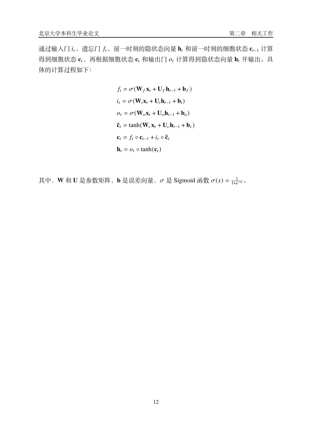通过输入门 it、遗忘门 ft、前一时刻的隐状态向量 ht 和前一时刻的细胞状态 ct-1 计算 得到细胞状态  $\mathbf{c}_t$ , 再根据细胞状态  $\mathbf{c}_t$  和输出门  $o_t$  计算得到隐状态向量  $\mathbf{h}_t$  并输出。具 体的计算过程如下:

$$
f_t = \sigma(\mathbf{W}_f \mathbf{x}_t + \mathbf{U}_f \mathbf{h}_{t-1} + \mathbf{b}_f)
$$
  
\n
$$
i_t = \sigma(\mathbf{W}_i \mathbf{x}_t + \mathbf{U}_i \mathbf{h}_{t-1} + \mathbf{b}_i)
$$
  
\n
$$
o_t = \sigma(\mathbf{W}_o \mathbf{x}_t + \mathbf{U}_o \mathbf{h}_{t-1} + \mathbf{b}_o)
$$
  
\n
$$
\tilde{\mathbf{c}}_t = \tanh(\mathbf{W}_c \mathbf{x}_t + \mathbf{U}_c \mathbf{h}_{t-1} + \mathbf{b}_c)
$$
  
\n
$$
\mathbf{c}_t = f_t \circ \mathbf{c}_{t-1} + i_t \circ \tilde{\mathbf{c}}_t
$$
  
\n
$$
\mathbf{h}_t = o_t \circ \tanh(\mathbf{c}_t)
$$

其中,W 和 U 是参数矩阵,b 是误差向量, $\sigma$  是 Sigmoid 函数  $\sigma(x) = \frac{1}{1 + \epsilon}$  $\frac{1}{1+e^{-x}}$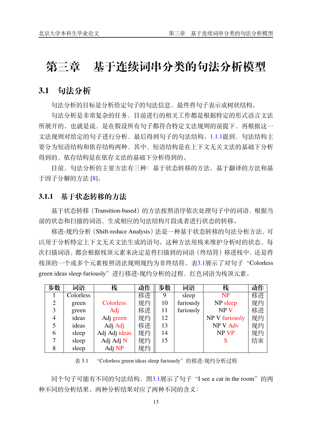# <span id="page-20-0"></span>**第三章 基于连续词串分类的句法分析模型**

### <span id="page-20-1"></span>**3.1 句法分析**

句法分析的目标是分析给定句子的句法信息,最终将句子表示成树状结构。

句法分析是非常复杂的任务,目前进行的相关工作都是根据特定的形式语言文法 所展开的。也就是说,是在假设所有句子都符合特定文法规则的前提下,再根据这一 文法规则对给定的句子进行分析,最后得到句子的句法结构。[1.1.1](#page-9-0)提到,句法结构主 要分为短语结构和依存结构两种,其中,短语结构是在上下文无关文法的基础下分析 得到的,依存结构是在依存文法的基础下分析得到的。

目前,句法分析的主要方法有三种:基于状态转移的方法、基于翻译的方法和基 于因子分解的方法 [[8\]](#page-34-8)。

#### <span id="page-20-2"></span>**3.1.1 基于状态转移的方法**

基于状态转移(Transition-based)的方法按照语序依次处理句子中的词语,根据当 前的状态和扫描的词语,生成相应的句法结构片段或者进行状态的转移。

移进-规约分析(Shift-reduce Analysis)法是一种基于状态转移的句法分析方法,可 以用于分析特定上下文无关文法生成的语句。这种方法用栈来维护分析时的状态,每 次扫描词语,都会根据栈顶元素来决定是将扫描到的词语(终结符)移进栈中,还是将 栈顶的一个或多个元素按照语法规则规约为非终结符。表[3.1](#page-20-3)展示了对句子"Colorless green ideas sleep furiously"进行移进-规约分析的过程,红色词语为栈顶元素。

<span id="page-20-3"></span>

| 步数 | 词语        | 栈             | 动作 | 步数 | 词语        | 栈               | 动作 |
|----|-----------|---------------|----|----|-----------|-----------------|----|
|    | Colorless |               | 移进 | 9  | sleep     | <b>NP</b>       | 移进 |
| 2  | green     | Colorless     | 规约 | 10 | furiously | NP sleep        | 规约 |
| 3  | green     | Adj           | 移进 | 11 | furiously | NP <sub>V</sub> | 移进 |
| 4  | ideas     | Adj green     | 规约 | 12 |           | NP V furiously  | 规约 |
|    | ideas     | Adj Adj       | 移进 | 13 |           | <b>NPV Adv</b>  | 规约 |
| 6  | sleep     | Adj Adj ideas | 规约 | 14 |           | NP VP           | 规约 |
|    | sleep     | Adj Adj N     | 规约 | 15 |           |                 | 结束 |
| 8  | sleep     | Adj NP        | 规约 |    |           |                 |    |

表 3.1 "Colorless green ideas sleep furiously"的移进-规约分析过程

同个句子可能有不同的句法结构, 图[3.1](#page-21-2)展示了句子 "I see a cat in the room"的两 种不同的分析结果。两种分析结果对应了两种不同的含义: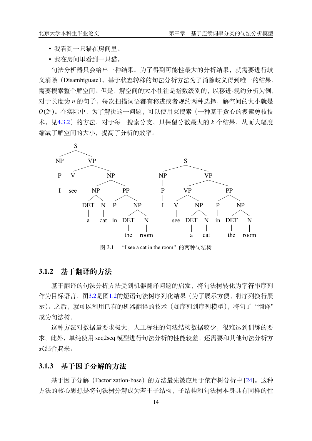- 我看到一只猫在房间里。
- 我在房间里看到一只猫。

句法分析器只会给出一种结果。为了得到可能性最大的分析结果,就需要进行歧 义消除(Disambiguate)。基于状态转移的句法分析方法为了消除歧义得到唯一的结果, 需要搜索整个解空间。但是,解空间的大小往往是指数级别的,以移进-规约分析为例, 对于长度为 n 的句子, 每次扫描词语都有移进或者规约两种选择, 解空间的大小就是  $O(2^n)$ 。在实际中, 为了解决这一问题, 可以使用束搜索(一种基于贪心的搜索剪枝技 术, 见[4.3.2](#page-28-0)) 的方法, 对于每一搜索分支, 只保留分数最大的 k 个结果, 从而大幅度 缩减了解空间的大小,提高了分析的效率。

<span id="page-21-2"></span>

图 3.1 "I see a cat in the room"的两种句法树

#### <span id="page-21-0"></span>**3.1.2 基于翻译的方法**

基于翻译的句法分析方法受到机器翻译问题的启发,将句法树转化为字符串序列 作为目标语言,图[3.2](#page-22-2)是图[1.2](#page-10-0)的短语句法树序列化结果(为了展示方便,将序列换行展 示)。之后, 就可以利用已有的机器翻译的技术(如序列到序列模型), 将句子"翻译" 成为句法树。

这种方法对数据量要求极大,人工标注的句法结构数据较少,很难达到训练的要 求。此外,单纯使用 seq2seq 模型进行句法分析的性能较差, 还需要和其他句法分析方 式结合起来。

#### <span id="page-21-1"></span>**3.1.3 基于因子分解的方法**

基于因子分解 (Factorization-base) 的方法最先被应用于依存树分析中 [[24\]](#page-35-7)。这种 方法的核心思想是将句法树分解成为若干子结构,子结构和句法树本身具有同样的性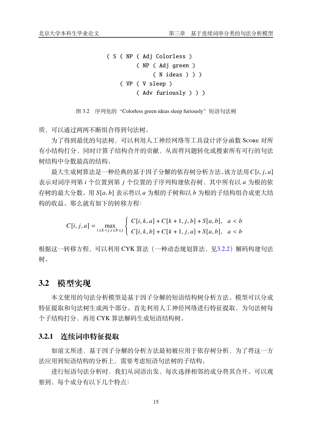```
( S ( NP ( Adj Colorless )
         ( NP ( Adj green )
              ( N ideas ) ) )
    ( VP ( V sleep )
         ( Adv furiously ) ) )
```
图 3.2 序列化的 "Colorless green ideas sleep furiously"短语句法树

质,可以通过两两不断组合得到句法树。

为了得到最优的句法树,可以利用人工神经网络等工具设计评分函数 Score 对所 有小结构打分,同时计算子结构合并的贡献,从而将问题转化成搜索所有可行的句法 树结构中分数最高的结构。

最大生成树算法是一种经典的基于因子分解的依存树分析方法。该方法用C[i, j, a]  $\ddot{x}$ 示对词序列第  $i \wedge \dot{0}$  置到第  $i \wedge \dot{0}$  置的子序列构建依存树, 其中所有以  $a$  为根的依 存树的最大分数。用 [*,* ] 表示将以 为根的子树和以 为根的子结构组合成更大结 构的收益。那么就有如下的转移方程:

> $C[i, j, a] = \max_{i \leq k < j, i \leq b \leq j}$  $\int C[i, k, a] + C[k + 1, j, b] + S[a, b], \quad a < b$  $C[i, k, b] + C[k + 1, j, a] + S[a, b], \quad a < b$

根据这一转移方程,可以利用 CYK 算法 (一种动态规划算法,见[3.2.2](#page-23-0)) 解码构建句法 树。

#### <span id="page-22-0"></span>**3.2 模型实现**

本文使用的句法分析模型是基于因子分解的短语结构树分析方法。模型可以分成 特征提取和句法树生成两个部分。首先利用人工神经网络进行特征提取,为句法树每 个子结构打分,再用 CYK 算法解码生成短语结构树。

#### <span id="page-22-1"></span>**3.2.1 连续词串特征提取**

如前文所述,基于因子分解的分析方法最初被应用于依存树分析,为了将这一方 法应用到短语结构的分析上,需要考虑短语句法树的子结构。

进行短语句法分析时,我们从词语出发,每次选择相邻的成分将其合并。可以观 察到,每个成分有以下几个特点: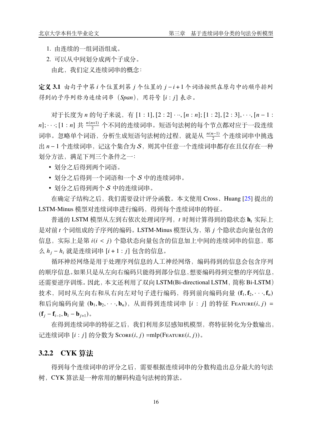- 1. 由连续的一组词语组成。
- 2. 可以从中间划分成两个子成分。

由此,我们定义连续词串的概念:

**定义 3.1** 由句子中第 个位置到第 个位置的 − + 1 个词语按照在原句中的顺序排列 得到的子序列称为连续词串 (Span), 用符号 [i : j] 表示。

对于长度为 *n* 的句子来说, 有 [1 : 1], [2 : 2] · ··, [*n* : *n*]; [1 : 2], [2 : 3], · ··, [*n* − 1 : n];  $\cdots$ ; [1 : n] 共  $\frac{n(n+1)}{2}$  个不同的连续词串。短语句法树的每个节点都对应于一段连续 词串。忽略单个词语,分析生成短语句法树的过程,就是从 <del>"(n-1)</del> 个连续词串中挑选 出 n-1个连续词串,记这个集合为 S,则其中任意一个连续词串都存在且仅存在一种 划分方法,满足下列三个条件之一:

- 划分之后得到两个词语。
- 划分之后得到一个词语和一个 S 中的连续词串。
- 划分之后得到两个 S 中的连续词串。

在确定子结构之后,我们需要设计评分函数。本文使用 Cross、Huang [[25\]](#page-35-8) 提出的 LSTM-Minus 模型对连续词串进行编码,得到每个连续词串的特征。

普通的 LSTM 模型从左到右依次处理词序列, t 时刻计算得到的隐状态 h<sub>t</sub> 实际上 是对前  $t$  个词组成的子序列的编码。LSTM-Minus 模型认为, 第  $j$  个隐状态向量包含的 信息, 实际上是第  $i(i < j)$  个隐状态向量包含的信息加上中间的连续词串的信息, 那 么 *h<sub>i</sub>* − *h<sub>i</sub>* 就是连续词串 [*i* + 1 : *j*] 包含的信息。

循环神经网络是用于处理序列信息的人工神经网络,编码得到的信息会包含序列 的顺序信息。如果只是从左向右编码只能得到部分信息,想要编码得到完整的序列信息, 还需要逆序训练。因此,本文还利用了双向 LSTM(Bi-directional LSTM,简称 Bi-LSTM) 技术,同时从左向右和从右向左对句子进行编码,得到前向编码向量 ( $\mathbf{f}_1, \mathbf{f}_2, \dots, \mathbf{f}_n$ )  $m\overline{a}$  和后向编码向量 (**b**<sub>1</sub>, **b**<sub>2</sub>, ···, **b**<sub>n</sub>), 从而得到连续词串 [*i* : *j*] 的特征 Fearure(*i*, *j*) =  $({\bf f}_i - {\bf f}_{i-1}, {\bf b}_i - {\bf b}_{i+1})$ .

在得到连续词串的特征之后,我们利用多层感知机模型,将特征转化为分数输出, 记连续词串 [i: i] 的分数为 Score(*i*, j) =mlp(Feature(*i*, j))。

#### <span id="page-23-0"></span>**3.2.2 CYK 算法**

得到每个连续词串的评分之后,需要根据连续词串的分数构造出总分最大的句法 树,CYK 算法是一种常用的解码构造句法树的算法。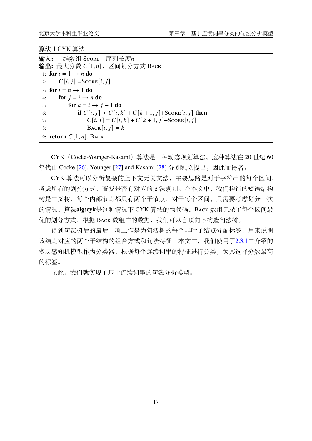#### **算法 1** CYK 算法

```
输入: 二维数组 Score,序列长度
输出: 最大分数 C[1, n], 区间划分方式 ΒACK
 1: for i = 1 \rightarrow n do
 2: C[i, j] = \text{Score}[i, j]3: for i = n \rightarrow 1 do
 4: for j = i \rightarrow n do
 5: for k = i \rightarrow j - 1 do
 6: if C[i, j] < C[i, k] + C[k + 1, j] + \text{Score}[i, j] then
 7: C[i, j] = C[i, k] + C[k + 1, j] + \text{Score}[i, j]8: \text{Back}[i, j] = k9: return C[1, n], BACK
```
CYK(Cocke-Younger-Kasami)算法是一种动态规划算法。这种算法在 20 世纪 60 年代由 Cocke [[26\]](#page-35-9), Younger [\[27](#page-35-10)] and Kasami [\[28](#page-35-11)] 分别独立提出, 因此而得名。

CYK 算法可以分析复杂的上下文无关文法,主要思路是对于字符串的每个区间, 考虑所有的划分方式,查找是否有对应的文法规则。在本文中,我们构造的短语结构 树是二叉树,每个内部节点都只有两个子节点,对于每个区间,只需要考虑划分一次 的情况。算法**alg:cyk**是这种情况下 CYK 算法的伪代码。Back 数组记录了每个区间最 优的划分方式,根据 Back 数组中的数据,我们可以自顶向下构造句法树。

得到句法树后的最后一项工作是为句法树的每个非叶子结点分配标签,用来说明 该结点对应的两个子结构的组合方式和句法特征。本文中,我们使用了[2.3.1](#page-17-1)中介绍的 多层感知机模型作为分类器,根据每个连续词串的特征进行分类,为其选择分数最高 的标签。

至此,我们就实现了基于连续词串的句法分析模型。

17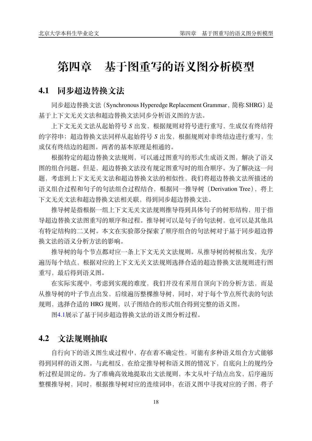# <span id="page-25-0"></span>**第四章 基于图重写的语义图分析模型**

### <span id="page-25-1"></span>**4.1 同步超边替换文法**

同步超边替换文法(Synchronous Hyperedge Replacement Grammar,简称 SHRG)是 基于上下文无关文法和超边替换文法同步分析语义图的方法。

上下文无关文法从起始符号 出发,根据规则对符号进行重写,生成仅有终结符 的字符串;超边替换文法同样从起始符号 S 出发, 根据规则对非终结边进行重写, 生 成仅有终结边的超图。两者的基本原理是相通的。

根据特定的超边替换文法规则,可以通过图重写的形式生成语义图,解决了语义 图的组合问题。但是,超边替换文法没有规定图重写时的组合顺序。为了解决这一问 题,考虑到上下文无关文法和超边替换文法的相似性,我们将超边替换文法所描述的 语义组合过程和句子的句法组合过程结合,根据同一推导树 (Derivation Tree), 将上 下文无关文法和超边替换文法相关联,得到同步超边替换文法。

推导树是指根据一组上下文无关文法规则推导得到具体句子的树形结构,用于指 导超边替换文法图重写的顺序和过程。推导树可以是句子的句法树,也可以是其他具 有特定结构的二叉树。本文在实验部分探索了顺序组合的句法树对于基于同步超边替 换文法的语义分析方法的影响。

推导树的每个节点都对应一条上下文无关文法规则。从推导树的树根出发,先序 遍历每个结点,根据对应的上下文无关文法规则选择合适的超边替换文法规则进行图 重写,最后得到语义图。

在实际实现中,考虑到实现的难度,我们并没有采用自顶向下的分析方法,而是 从推导树的叶子节点出发,后续遍历整棵推导树,同时,对于每个节点所代表的句法 规则,选择合适的 HRG 规则,以子图结合的形式组合得到完整的语义图。

图[4.1](#page-26-0)展示了基于同步超边替换文法的语义图分析过程。

### <span id="page-25-2"></span>**4.2 文法规则抽取**

自行向下的语义图生成过程中,存在着不确定性,可能有多种语义组合方式能够 得到同样的语义图。与此相反,在给定推导树和语义图的情况下,自底向上的规约分 析过程是固定的。为了准确高效地提取出文法规则,本文从叶子结点出发,后序遍历 整棵推导树,同时,根据推导树对应的连续词串,在语义图中寻找对应的子图,将子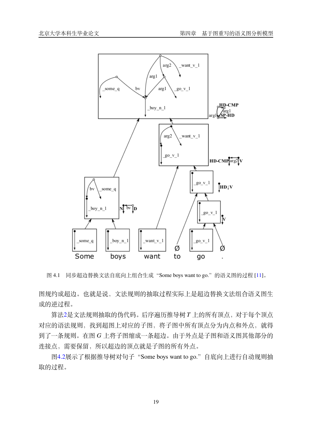<span id="page-26-0"></span>

图 4.1 同步超边替换文法自底向上组合生成"Some boys want to go."的语义图的过程 [[11](#page-34-11)]。

图规约成超边。也就是说,文法规则的抽取过程实际上是超边替换文法组合语义图生 成的逆过程。

算法[2](#page-27-2)是文法规则抽取的伪代码。后序遍历推导树 T 上的所有顶点, 对于每个顶点 对应的语法规则,找到超图上对应的子图,将子图中所有顶点分为内点和外点,就得 到了一条规则。在图 G 上将子图缩成一条超边。由于外点是子图和语义图其他部分的 连接点,需要保留,所以超边的顶点就是子图的所有外点。

图[4.2](#page-28-1)展示了根据推导树对句子"Some boys want to go."自底向上进行自动规则抽 取的过程。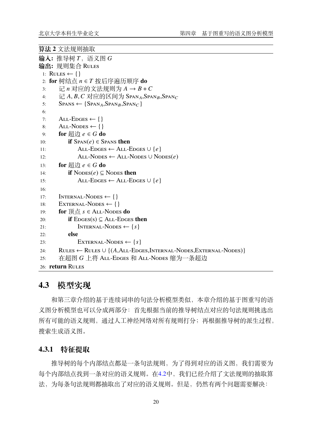```
算法 2 文法规则抽取
```

```
\mathbf{\hat{A}}): 推导树 T, 语义图 G输出: 规则集合 Rules
 1: RULES ← \{\}2: for 树结点 n \in T 按后序遍历顺序 do
 3: 记  对应的文法规则为  →  + 
 4: 记 A, B, C 对应的区间为 Span<sub>A</sub>, Span<sub>B</sub>, Span<sub>C</sub>
 5: S_{PANS} \leftarrow \{SPAN_A, SPAN_B, SPAN_C\}6:
 7: ALL-EDGES \leftarrow \{\}8: \text{ALL-NODEs} \leftarrow \{\}9: for 超边 e \in G do
10: if \text{Span}(e) \in \text{Spans} then
11: ALL-EDGES ← ALL-EDGES ∪ {e}
12: \text{ALL-Nodes} \leftarrow \text{ALL-Nodes} \cup \text{Nodes}(e)13: for 紹边 e \in G do
14: if \text{NODES}(e) \subseteq \text{NODES} then
15: ALL-EDGES ← ALL-EDGES ∪ {e}
16:
17: INTERNAL-NODES \leftarrow \{\}18: EXTERNAL-NODES \leftarrow \{\}19: for 顶点 s \in ALL-Nodes do
20: if \text{Eoges}(s) \subseteq \text{ALL-EDGES} then
21: INTERNAL-NODES ← \{s\}22: else
23: EXTERNAL-NODES ← \{s\}24: RULES ← RULES \cup {(A, ALL-EDGES, INTERNAL-NODES, EXTERNAL-NODES)}
25: 在超图 G 上将 ALL-Edges 和 ALL-Nodes 缩为一条超边
26: return Rules
```
### <span id="page-27-0"></span>**4.3 模型实现**

和第三章介绍的基于连续词串的句法分析模型类似,本章介绍的基于图重写的语 义图分析模型也可以分成两部分:首先根据当前的推导树结点对应的句法规则挑选出 所有可能的语义规则,通过人工神经网络对所有规则打分;再根据推导树的派生过程, 搜索生成语义图。

#### <span id="page-27-1"></span>**4.3.1 特征提取**

推导树的每个内部结点都是一条句法规则,为了得到对应的语义图,我们需要为 每个内部结点找到一条对应的语义规则。在[4.2](#page-25-2)中,我们已经介绍了文法规则的抽取算 法,为每条句法规则都抽取出了对应的语义规则。但是,仍然有两个问题需要解决: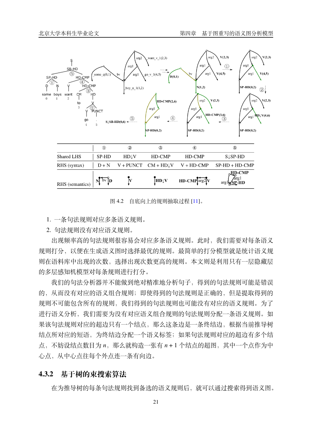<span id="page-28-1"></span>

图 4.2 自底向上的规则抽取过程 [[11](#page-34-11)]。

1. 一条句法规则对应多条语义规则。

2. 句法规则没有对应语义规则。

出现频率高的句法规则很容易会对应多条语义规则。此时,我们需要对每条语义 规则打分,以便在生成语义图时选择最优的规则。最简单的打分模型就是统计语义规 则在语料库中出现的次数,选择出现次数更高的规则。本文则是利用只有一层隐藏层 的多层感知机模型对每条规则进行打分。

我们的句法分析器并不能做到绝对精准地分析句子,得到的句法规则可能是错误 的,从而没有对应的语义组合规则;即使得到的句法规则是正确的,但是提取得到的 规则不可能包含所有的规则,我们得到的句法规则也可能没有对应的语义规则。为了 进行语义分析,我们需要为没有对应语义组合规则的句法规则分配一条语义规则。如 果该句法规则对应的超边只有一个结点,那么这条边是一条终结边,根据当前推导树 结点所对应的短语,为终结边分配一个语义标签;如果句法规则对应的超边有多个结 点,不妨设结点数目为 n,那么就构造一张有 n + 1 个结点的超图,其中一个点作为中 心点,从中心点往每个外点连一条有向边。

#### <span id="page-28-0"></span>**4.3.2 基于树的束搜索算法**

在为推导树的每条句法规则找到备选的语义规则后,就可以通过搜索得到语义图。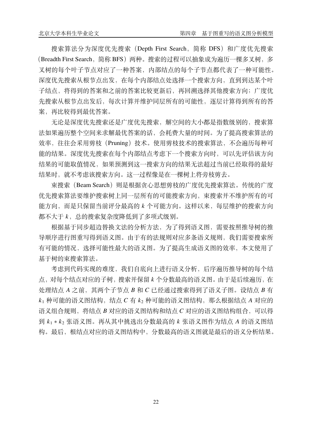搜索算法分为深度优先搜索(Depth First Search,简称 DFS)和广度优先搜索 (Breadth First Search, 简称 BFS)两种。搜索的过程可以抽象成为遍历一棵多叉树, 多 叉树的每个叶子节点对应了一种答案,内部结点的每个子节点都代表了一种可能性。 深度优先搜索从根节点出发,在每个内部结点处选择一个搜索方向,直到到达某个叶 子结点,将得到的答案和之前的答案比较更新后,再回溯选择其他搜索方向;广度优 先搜索从根节点出发后,每次计算并维护同层所有的可能性,逐层计算得到所有的答 案,再比较得到最优答案。

无论是深度优先搜索还是广度优先搜索,解空间的大小都是指数级别的,搜索算 法如果遍历整个空间来求解最优答案的话,会耗费大量的时间。为了提高搜索算法的 效率, 往往会采用剪枝(Pruning)技术。使用剪枝技术的搜索算法, 不会遍历每种可 能的结果。深度优先搜索在每个内部结点考虑下一个搜索方向时,可以先评估该方向 结果的可能取值情况,如果预测到这一搜索方向的结果无法超过当前已经取得的最好 结果时,就不考虑该搜索方向。这一过程像是在一棵树上将旁枝剪去。

束搜索(Beam Search)则是根据贪心思想剪枝的广度优先搜索算法。传统的广度 优先搜索算法要维护搜索树上同一层所有的可能搜索方向,束搜索并不维护所有的可 能方向,而是只保留当前评分最高的 k 个可能方向。这样以来, 每层维护的搜索方向 都不大于 k, 总的搜索复杂度降低到了多项式级别。

根据基于同步超边替换文法的分析方法,为了得到语义图,需要按照推导树的推 导顺序进行图重写得到语义图。由于有的法规则对应多条语义规则,我们需要搜索所 有可能的情况,选择可能性最大的语义图。为了提高生成语义图的效率,本文使用了 基于树的束搜索算法。

考虑到代码实现的难度,我们自底向上进行语义分析,后序遍历推导树的每个结 点,对每个结点对应的子树,搜索并保留 个分数最高的语义图。由于是后续遍历,在  $\psi$ 理结点  $A \ngeq \hat{m}$ , 其两个子节点  $B \nmid R$   $C \nsubseteq \mathbb{R}$ 通过搜索得到了语义子图。设结点  $B \nmid \hat{m}$  $k_1$  种可能的语义图结构,结点  $C \neq k_2$  种可能的语义图结构, 那么根据结点 A 对应的 语义组合规则, 将结点 B 对应的语义图结构和结点 C 对应的语义图结构组合, 可以得 到  $k_1 * k_2$  张语义图。再从其中挑选出分数最高的  $k$  张语义图作为结点  $A$  的语义图结 构。最后,根结点对应的语义图结构中,分数最高的语义图就是最后的语义分析结果。

22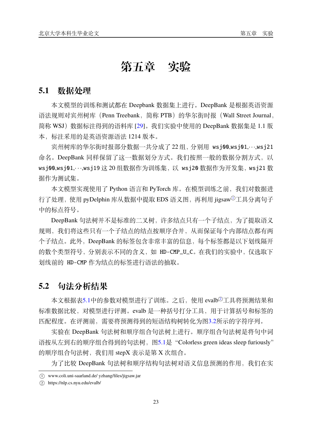# **第五章 实验**

### <span id="page-30-1"></span><span id="page-30-0"></span>**5.1 数据处理**

本文模型的训练和测试都在 Deepbank 数据集上进行。DeepBank 是根据英语资源 语法规则对宾州树库 (Penn Treebank, 简称 PTB) 的华尔街时报 (Wall Street Journal, 简称 WSJ)数据标注得到的语料库 [\[29](#page-35-12)]。我们实验中使用的 DeepBank 数据集是 1.1 版 本,标注采用的是英语资源语法 1214 版本。

宾州树库的华尔街时报部分数据一共分成了 22 组,分别用 wsj00,wsj01,· · ·,wsj21 命名。DeepBank 同样保留了这一数据划分方式。我们按照一般的数据分割方式, 以 wsj00,wsj01,…,wsj19 这 20 组数据作为训练集, 以 wsj20 数据作为开发集, wsj21 数 据作为测试集。

本文模型实现使用了 Python 语言和 PyTorch 库。在模型训练之前,我们对数据进 行了处理, 使用 pyDelphin 库从数据中提取 EDS 语义图, 再利用 jigsaw<sup>①</sup>工具分离句子 中的标点符号。

DeepBank 句法树并不是标准的二叉树, 许多结点只有一个子结点, 为了提取语义 规则,我们将这些只有一个子结点的结点按顺序合并,从而保证每个内部结点都有两 个子结点。此外,DeepBank 的标签包含非常丰富的信息,每个标签都是以下划线隔开 的数个类型符号,分别表示不同的含义,如 HD-CMP\_U\_C。在我们的实验中,仅选取下 划线前的 HD-CMP 作为结点的标签进行语法的抽取。

### <span id="page-30-2"></span>**5.2 句法分析结果**

本文根据表[5.1](#page-31-0)中的参数对模型进行了训练。之后, 使用 evalb<sup>②</sup>工具将预测结果和 标准数据比较,对模型进行评测。evalb 是一种括号打分工具,用于计算括号和标签的 匹配程度。在评测前,需要将预测得到的短语结构树转化为图[3.2](#page-22-2)所示的字符序列。

实验在 DeepBank 句法树和顺序组合句法树上进行。顺序组合句法树是将句中词 语按从左到右的顺序组合得到的句法树,图[5.1](#page-31-1)是"Colorless green ideas sleep furiously" 的顺序组合句法树,我们用 stepX 表示是第 X 次组合。

为了比较 DeepBank 句法树和顺序结构句法树对语义信息预测的作用, 我们在实

<span id="page-30-3"></span> $(1)$  www.coli.uni-saarland.de/ yzhang/files/jigsaw.jar

<span id="page-30-4"></span><sup>2</sup> https://nlp.cs.nyu.edu/evalb/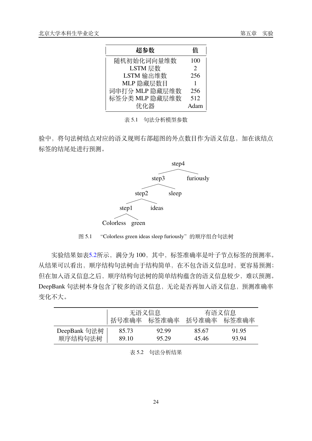<span id="page-31-0"></span>

| 超参数            | 佰                     |
|----------------|-----------------------|
| 随机初始化词向量维数     | 100                   |
| LSTM 层数        | $\mathcal{D}_{\cdot}$ |
| LSTM 输出维数      | 256                   |
| MLP 隐藏层数目      |                       |
| 词串打分 MLP 隐藏层维数 | 256                   |
| 标签分类 MLP 隐藏层维数 | 512                   |
| 优化器            | Adam                  |

表 5.1 句法分析模型参数

<span id="page-31-1"></span>验中,将句法树结点对应的语义规则右部超图的外点数目作为语义信息,加在该结点 标签的结尾处进行预测。



图 5.1 "Colorless green ideas sleep furiously"的顺序组合句法树

实验结果如表[5.2](#page-31-2)所示,满分为 100,其中,标签准确率是叶子节点标签的预测率。 从结果可以看出,顺序结构句法树由于结构简单,在不包含语义信息时,更容易预测; 但在加入语义信息之后,顺序结构句法树的简单结构蕴含的语义信息较少,难以预测。 DeepBank 句法树本身包含了较多的语义信息,无论是否再加入语义信息,预测准确率 变化不大。

<span id="page-31-2"></span>

|              | 无语义信息       |       | 有语义信息       |       |  |
|--------------|-------------|-------|-------------|-------|--|
|              | 括号准确率 标签准确率 |       | 括号准确率 标签准确率 |       |  |
| DeepBank 句法树 | 85.73       | 92.99 | 85.67       | 91.95 |  |
| 顺序结构句法树      | 89.10       | 95.29 | 45.46       | 93.94 |  |

#### 表 5.2 句法分析结果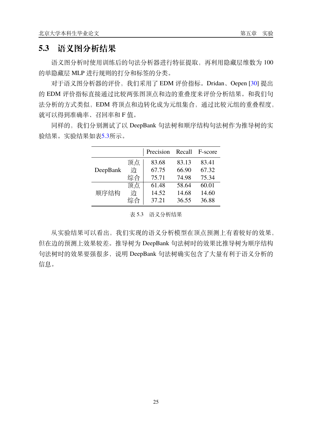### <span id="page-32-0"></span>**5.3 语义图分析结果**

语义图分析时使用训练后的句法分析器进行特征提取,再利用隐藏层维数为 100 的单隐藏层 MLP 进行规则的打分和标签的分类。

对于语义图分析器的评价,我们采用了 EDM 评价指标。Dridan、Oepen [[30\]](#page-35-13) 提出 的 EDM 评价指标直接通过比较两张图顶点和边的重叠度来评价分析结果。和我们句 法分析的方式类似,EDM 将顶点和边转化成为元组集合,通过比较元组的重叠程度, 就可以得到准确率、召回率和 F 值。

<span id="page-32-1"></span>同样的,我们分别测试了以 DeepBank 句法树和顺序结构句法树作为推导树的实 验结果。实验结果如表[5.3](#page-32-1)所示。

|          |    | Precision | Recall | F-score |
|----------|----|-----------|--------|---------|
|          | 顶点 | 83.68     | 83.13  | 83.41   |
| DeepBank | 边  | 67.75     | 66.90  | 67.32   |
|          | 综合 | 75.71     | 74.98  | 75.34   |
|          | 顶点 | 61.48     | 58.64  | 60.01   |
| 顺序结构     | 边  | 14.52     | 14.68  | 14.60   |
|          | 综合 | 37.21     | 36.55  | 36.88   |

#### 表 5.3 语义分析结果

从实验结果可以看出,我们实现的语义分析模型在顶点预测上有着较好的效果, 但在边的预测上效果较差。推导树为 DeepBank 句法树时的效果比推导树为顺序结构 句法树时的效果要强很多,说明 DeepBank 句法树确实包含了大量有利于语义分析的 信息。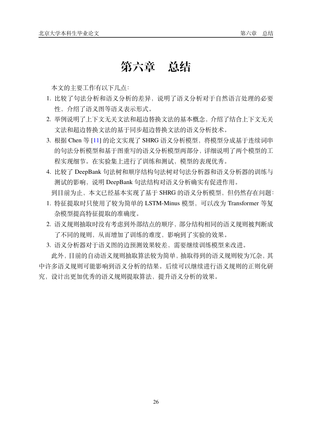# **第六章 总结**

<span id="page-33-0"></span>本文的主要工作有以下几点:

- 1. 比较了句法分析和语义分析的差异, 说明了语义分析对于自然语言处理的必要 性,介绍了语义图等语义表示形式。
- 2. 举例说明了上下文无关文法和超边替换文法的基本概念,介绍了结合上下文无关 文法和超边替换文法的基于同步超边替换文法的语义分析技术。
- 3. 根据 Chen 等 [[11\]](#page-34-11) 的论文实现了 SHRG 语义分析模型, 将模型分成基于连续词串 的句法分析模型和基于图重写的语义分析模型两部分,详细说明了两个模型的工 程实现细节。在实验集上进行了训练和测试,模型的表现优秀。
- 4. 比较了 DeepBank 句法树和顺序结构句法树对句法分析器和语义分析器的训练与 测试的影响,说明 DeepBank 句法结构对语义分析确实有促进作用。

到目前为止,本文已经基本实现了基于 SHRG 的语义分析模型,但仍然存在问题:

- 1. 特征提取时只使用了较为简单的 LSTM-Minus 模型,可以改为 Transformer 等复 杂模型提高特征提取的准确度。
- 2. 语义规则抽取时没有考虑到外部结点的顺序,部分结构相同的语义规则被判断成 了不同的规则,从而增加了训练的难度,影响到了实验的效果。
- 3. 语义分析器对于语义图的边预测效果较差,需要继续训练模型来改进。

此外,目前的自动语义规则抽取算法较为简单,抽取得到的语义规则较为冗杂,其 中许多语义规则可能影响到语义分析的结果。后续可以继续进行语义规则的正则化研 究,设计出更加优秀的语义规则提取算法,提升语义分析的效果。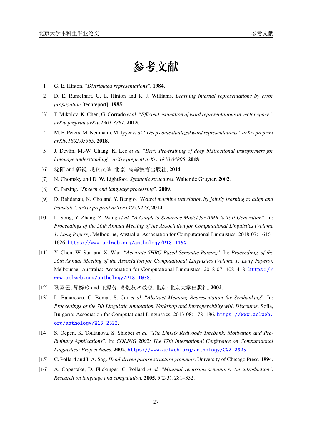# **参考文献**

- <span id="page-34-1"></span><span id="page-34-0"></span>[1] G. E. Hinton. "*Distributed representations*". **1984**.
- <span id="page-34-2"></span>[2] D. E. Rumelhart, G. E. Hinton and R. J. Williams. *Learning internal representations by error propagation* [techreport]. **1985**.
- <span id="page-34-3"></span>[3] T. Mikolov, K. Chen, G. Corrado *et al.* "*Efficient estimation of word representations in vector space*". *arXiv preprint arXiv:1301.3781*, **2013**.
- <span id="page-34-4"></span>[4] M. E. Peters, M. Neumann, M. Iyyer *et al.* "*Deep contextualized word representations*". *arXiv preprint arXiv:1802.05365*, **2018**.
- <span id="page-34-5"></span>[5] J. Devlin, M.-W. Chang, K. Lee *et al.* "*Bert: Pre-training of deep bidirectional transformers for language understanding*". *arXiv preprint arXiv:1810.04805*, **2018**.
- <span id="page-34-6"></span>[6] 沈阳 and 郭锐. 现代汉语. 北京: 高等教育出版社, **2014**.
- <span id="page-34-7"></span>[7] N. Chomsky and D. W. Lightfoot. *Syntactic structures*. Walter de Gruyter, **2002**.
- <span id="page-34-8"></span>[8] C. Parsing. "*Speech and language processing*". **2009**.
- <span id="page-34-9"></span>[9] D. Bahdanau, K. Cho and Y. Bengio. "*Neural machine translation by jointly learning to align and translate*". *arXiv preprint arXiv:1409.0473*, **2014**.
- <span id="page-34-10"></span>[10] L. Song, Y. Zhang, Z. Wang *et al.* "*A Graph-to-Sequence Model for AMR-to-Text Generation*". In: *Proceedings of the 56th Annual Meeting of the Association for Computational Linguistics (Volume 1: Long Papers)*. Melbourne, Australia: Association for Computational Linguistics, 2018-07: 1616– 1626. <https://www.aclweb.org/anthology/P18-1150>.
- <span id="page-34-11"></span>[11] Y. Chen, W. Sun and X. Wan. "*Accurate SHRG-Based Semantic Parsing*". In: *Proceedings of the 56th Annual Meeting of the Association for Computational Linguistics (Volume 1: Long Papers)*. Melbourne, Australia: Association for Computational Linguistics, 2018-07: 408–418. [https://](https://www.aclweb.org/anthology/P18-1038) [www.aclweb.org/anthology/P18-1038](https://www.aclweb.org/anthology/P18-1038).
- <span id="page-34-12"></span>[12] 耿素云, 屈婉玲 and 王捍贫. 离散数学教程. 北京: 北京大学出版社, **2002**.
- <span id="page-34-13"></span>[13] L. Banarescu, C. Bonial, S. Cai *et al.* "*Abstract Meaning Representation for Sembanking*". In: *Proceedings of the 7th Linguistic Annotation Workshop and Interoperability with Discourse*. Sofia, Bulgaria: Association for Computational Linguistics, 2013-08: 178–186. [https://www.aclweb.](https://www.aclweb.org/anthology/W13-2322) [org/anthology/W13-2322](https://www.aclweb.org/anthology/W13-2322).
- <span id="page-34-14"></span>[14] S. Oepen, K. Toutanova, S. Shieber *et al.* "*The LinGO Redwoods Treebank: Motivation and Preliminary Applications*". In: *COLING 2002: The 17th International Conference on Computational Linguistics: Project Notes*. **2002**. <https://www.aclweb.org/anthology/C02-2025>.
- <span id="page-34-15"></span>[15] C. Pollard and I. A. Sag. *Head-driven phrase structure grammar*. University of Chicago Press, **1994**.
- <span id="page-34-16"></span>[16] A. Copestake, D. Flickinger, C. Pollard *et al.* "*Minimal recursion semantics: An introduction*". *Research on language and computation*, **2005**, *3*(2-3): 281–332.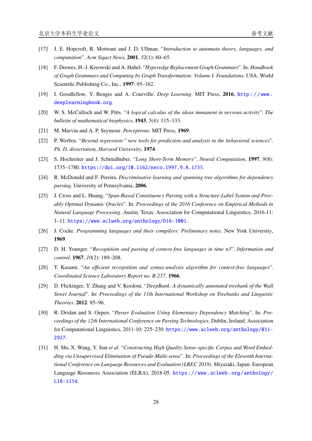- <span id="page-35-0"></span>[17] J. E. Hopcroft, R. Motwani and J. D. Ullman. "*Introduction to automata theory, languages, and computation*". *Acm Sigact News*, **2001**, *32*(1): 60–65.
- <span id="page-35-1"></span>[18] F. Drewes, H.-J. Kreowski and A. Habel. "*Hyperedge Replacement Graph Grammars*". In: *Handbook of Graph Grammars and Computing by Graph Transformation: Volume I. Foundations*. USA: World Scientific Publishing Co., Inc., **1997**: 95–162.
- <span id="page-35-2"></span>[19] I. Goodfellow, Y. Bengio and A. Courville. *Deep Learning*. MIT Press, **2016**, [http : / / www .](http://www.deeplearningbook.org) [deeplearningbook.org](http://www.deeplearningbook.org).
- <span id="page-35-3"></span>[20] W. S. McCulloch and W. Pitts. "*A logical calculus of the ideas immanent in nervous activity*". *The bulletin of mathematical biophysics*, **1943**, *5*(4): 115–133.
- <span id="page-35-4"></span>[21] M. Marvin and A. P. Seymour. *Perceptrons*. MIT Press, **1969**.
- <span id="page-35-5"></span>[22] P. Werbos. "*Beyond regression:" new tools for prediction and analysis in the behavioral sciences*". *Ph. D. dissertation, Harvard University*, **1974**.
- <span id="page-35-6"></span>[23] S. Hochreiter and J. Schmidhuber. "*Long Short-Term Memory*". *Neural Computation*, **1997**, *9*(8): 1735–1780. <https://doi.org/10.1162/neco.1997.9.8.1735>.
- <span id="page-35-7"></span>[24] R. McDonald and F. Pereira. *Discriminative learning and spanning tree algorithms for dependency parsing*. University of Pennsylvania, **2006**.
- <span id="page-35-8"></span>[25] J. Cross and L. Huang. "Span-Based Constituency Parsing with a Structure-Label System and Prov*ably Optimal Dynamic Oracles*". In: *Proceedings of the 2016 Conference on Empirical Methods in Natural Language Processing*. Austin, Texas: Association for Computational Linguistics, 2016-11: 1–11. <https://www.aclweb.org/anthology/D16-1001>.
- <span id="page-35-9"></span>[26] J. Cocke. *Programming languages and their compilers: Preliminary notes*. New York University, **1969**.
- <span id="page-35-10"></span>[27] D. H. Younger. "*Recognition and parsing of context-free languages in time n3*". *Information and control*, **1967**, *10*(2): 189–208.
- <span id="page-35-11"></span>[28] T. Kasami. "*An efficient recognition and syntax-analysis algorithm for context-free languages*". *Coordinated Science Laboratory Report no. R-257*, **1966**.
- <span id="page-35-12"></span>[29] D. Flickinger, Y. Zhang and V. Kordoni. "*DeepBank. A dynamically annotated treebank of the Wall Street Journal*". In: *Proceedings of the 11th International Workshop on Treebanks and Linguistic Theories*. **2012**: 85–96.
- <span id="page-35-13"></span>[30] R. Dridan and S. Oepen. "*Parser Evaluation Using Elementary Dependency Matching*". In: *Proceedings of the 12th International Conference on Parsing Technologies*. Dublin, Ireland: Association for Computational Linguistics, 2011-10: 225–230. [https://www.aclweb.org/anthology/W11-](https://www.aclweb.org/anthology/W11-2927) [2927](https://www.aclweb.org/anthology/W11-2927).
- [31] H. Shi, X. Wang, Y. Sun *et al.* "*Constructing High Quality Sense-specific Corpus and Word Embedding via Unsupervised Elimination of Pseudo Multi-sense*". In: *Proceedings of the Eleventh International Conference on Language Resources and Evaluation (LREC 2018)*. Miyazaki, Japan: European Language Resources Association (ELRA), 2018-05. [https://www.aclweb.org/anthology/](https://www.aclweb.org/anthology/L18-1154) [L18-1154](https://www.aclweb.org/anthology/L18-1154).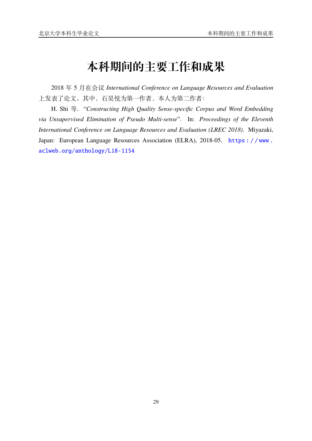# **本科期间的主要工作和成果**

<span id="page-36-0"></span>2018 年 5 月在会议 *International Conference on Language Resources and Evaluation* 上发表了论文。其中,石昊悦为第一作者,本人为第二作者:

H. Shi 等. "*Constructing High Quality Sense-specific Corpus and Word Embedding via Unsupervised Elimination of Pseudo Multi-sense*". In: *Proceedings of the Eleventh International Conference on Language Resources and Evaluation (LREC 2018)*. Miyazaki, Japan: European Language Resources Association (ELRA), 2018-05. https://www. [aclweb.org/anthology/L18-1154](https://www.aclweb.org/anthology/L18-1154)